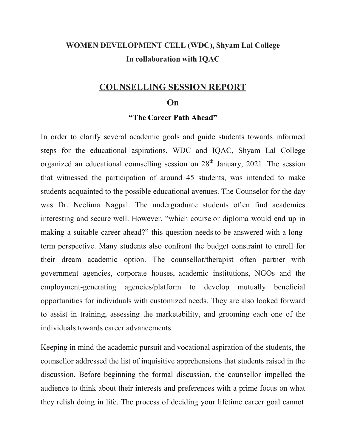#### **WOMEN DEVELOPMENT CELL (WDC), Shyam Lal College In collaboration with IQAC**

#### **COUNSELLING SESSION REPORT**

#### **On**

#### **"The Career Path Ahead"**

In order to clarify several academic goals and guide students towards informed steps for the educational aspirations, WDC and IQAC, Shyam Lal College organized an educational counselling session on  $28<sup>th</sup>$  January, 2021. The session that witnessed the participation of around 45 students, was intended to make students acquainted to the possible educational avenues. The Counselor for the day was Dr. Neelima Nagpal. The undergraduate students often find academics interesting and secure well. However, "which course or diploma would end up in making a suitable career ahead?" this question needs to be answered with a longterm perspective. Many students also confront the budget constraint to enroll for their dream academic option. The counsellor/therapist often partner with government agencies, corporate houses, academic institutions, NGOs and the employment-generating agencies/platform to develop mutually beneficial opportunities for individuals with customized needs. They are also looked forward to assist in training, assessing the marketability, and grooming each one of the individuals towards career advancements.

Keeping in mind the academic pursuit and vocational aspiration of the students, the counsellor addressed the list of inquisitive apprehensions that students raised in the discussion. Before beginning the formal discussion, the counsellor impelled the audience to think about their interests and preferences with a prime focus on what they relish doing in life. The process of deciding your lifetime career goal cannot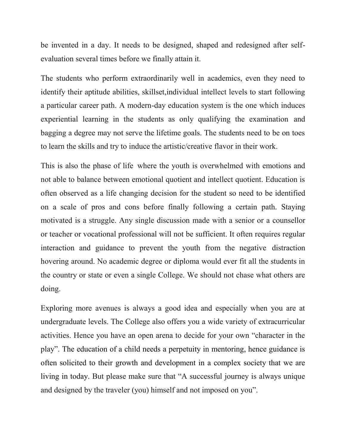be invented in a day. It needs to be designed, shaped and redesigned after selfevaluation several times before we finally attain it.

The students who perform extraordinarily well in academics, even they need to identify their aptitude abilities, skillset,individual intellect levels to start following a particular career path. A modern-day education system is the one which induces experiential learning in the students as only qualifying the examination and bagging a degree may not serve the lifetime goals. The students need to be on toes to learn the skills and try to induce the artistic/creative flavor in their work.

This is also the phase of life where the youth is overwhelmed with emotions and not able to balance between emotional quotient and intellect quotient. Education is often observed as a life changing decision for the student so need to be identified on a scale of pros and cons before finally following a certain path. Staying motivated is a struggle. Any single discussion made with a senior or a counsellor or teacher or vocational professional will not be sufficient. It often requires regular interaction and guidance to prevent the youth from the negative distraction hovering around. No academic degree or diploma would ever fit all the students in the country or state or even a single College. We should not chase what others are doing.

Exploring more avenues is always a good idea and especially when you are at undergraduate levels. The College also offers you a wide variety of extracurricular activities. Hence you have an open arena to decide for your own "character in the play". The education of a child needs a perpetuity in mentoring, hence guidance is often solicited to their growth and development in a complex society that we are living in today. But please make sure that "A successful journey is always unique and designed by the traveler (you) himself and not imposed on you".